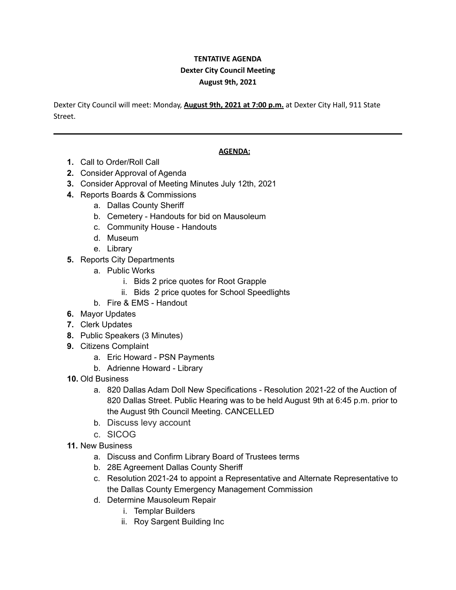## **TENTATIVE AGENDA Dexter City Council Meeting August 9th, 2021**

Dexter City Council will meet: Monday, **August 9th, 2021 at 7:00 p.m.** at Dexter City Hall, 911 State Street.

## **AGENDA:**

- **1.** Call to Order/Roll Call
- **2.** Consider Approval of Agenda
- **3.** Consider Approval of Meeting Minutes July 12th, 2021
- **4.** Reports Boards & Commissions
	- a. Dallas County Sheriff
	- b. Cemetery Handouts for bid on Mausoleum
	- c. Community House Handouts
	- d. Museum
	- e. Library
- **5.** Reports City Departments
	- a. Public Works
		- i. Bids 2 price quotes for Root Grapple
		- ii. Bids 2 price quotes for School Speedlights
	- b. Fire & EMS Handout
- **6.** Mayor Updates
- **7.** Clerk Updates
- **8.** Public Speakers (3 Minutes)
- **9.** Citizens Complaint
	- a. Eric Howard PSN Payments
	- b. Adrienne Howard Library
- **10.** Old Business
	- a. 820 Dallas Adam Doll New Specifications Resolution 2021-22 of the Auction of 820 Dallas Street. Public Hearing was to be held August 9th at 6:45 p.m. prior to the August 9th Council Meeting. CANCELLED
	- b. Discuss levy account
	- c. SICOG
- **11.** New Business
	- a. Discuss and Confirm Library Board of Trustees terms
	- b. 28E Agreement Dallas County Sheriff
	- c. Resolution 2021-24 to appoint a Representative and Alternate Representative to the Dallas County Emergency Management Commission
	- d. Determine Mausoleum Repair
		- i. Templar Builders
		- ii. Roy Sargent Building Inc